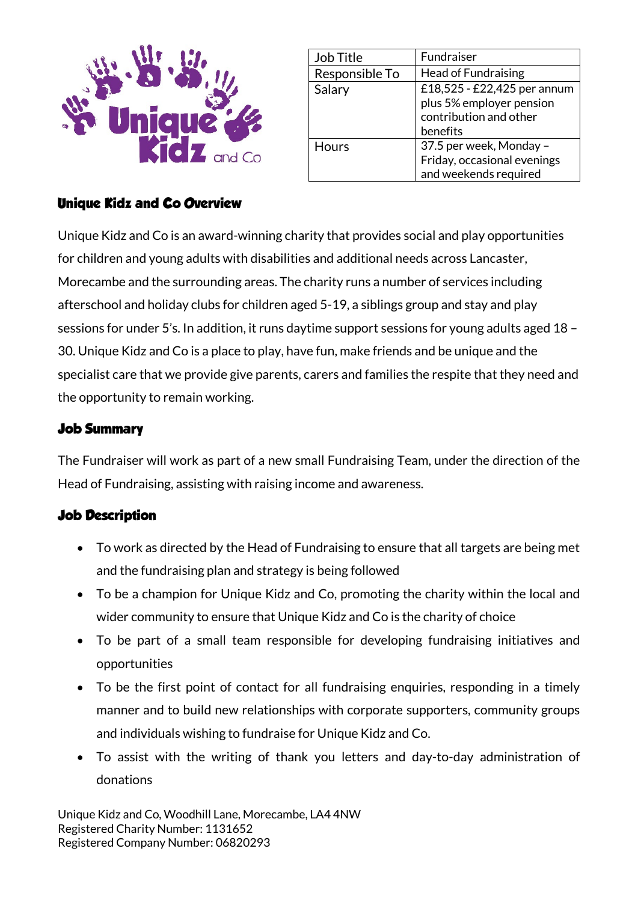

| Job Title      | Fundraiser                                                                        |
|----------------|-----------------------------------------------------------------------------------|
| Responsible To | <b>Head of Fundraising</b>                                                        |
| Salary         | £18,525 - £22,425 per annum<br>plus 5% employer pension<br>contribution and other |
|                | benefits                                                                          |
| Hours          | 37.5 per week, Monday -<br>Friday, occasional evenings                            |
|                | and weekends required                                                             |

## **Unique Kidz and Co Overview**

Unique Kidz and Co is an award-winning charity that provides social and play opportunities for children and young adults with disabilities and additional needs across Lancaster, Morecambe and the surrounding areas. The charity runs a number of services including afterschool and holiday clubs for children aged 5-19, a siblings group and stay and play sessions for under 5's. In addition, it runs daytime support sessions for young adults aged 18 – 30. Unique Kidz and Co is a place to play, have fun, make friends and be unique and the specialist care that we provide give parents, carers and families the respite that they need and the opportunity to remain working.

### **Job Summary**

The Fundraiser will work as part of a new small Fundraising Team, under the direction of the Head of Fundraising, assisting with raising income and awareness.

## **Job Description**

- To work as directed by the Head of Fundraising to ensure that all targets are being met and the fundraising plan and strategy is being followed
- To be a champion for Unique Kidz and Co, promoting the charity within the local and wider community to ensure that Unique Kidz and Co is the charity of choice
- To be part of a small team responsible for developing fundraising initiatives and opportunities
- To be the first point of contact for all fundraising enquiries, responding in a timely manner and to build new relationships with corporate supporters, community groups and individuals wishing to fundraise for Unique Kidz and Co.
- To assist with the writing of thank you letters and day-to-day administration of donations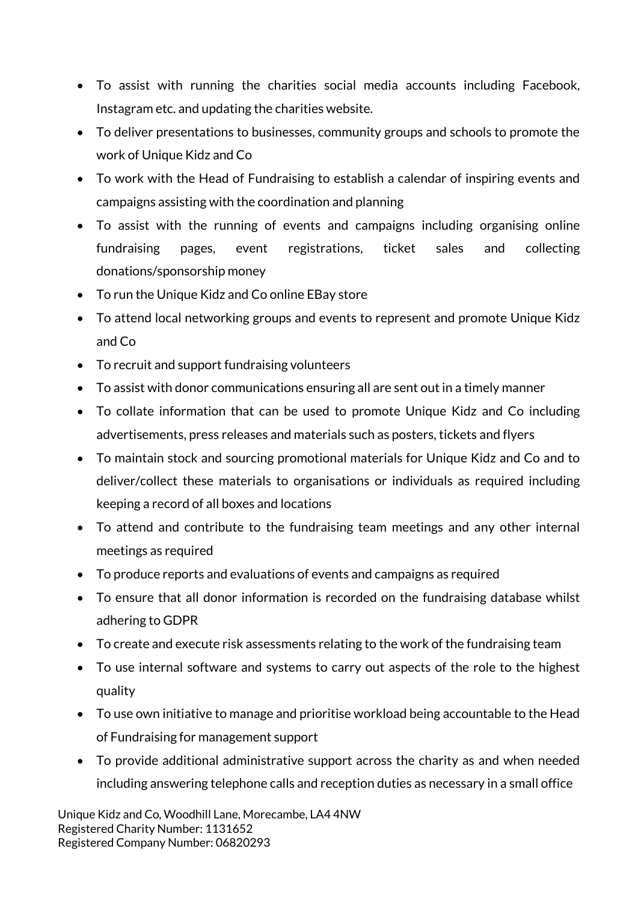- To assist with running the charities social media accounts including Facebook, Instagram etc. and updating the charities website.
- To deliver presentations to businesses, community groups and schools to promote the work of Unique Kidz and Co
- To work with the Head of Fundraising to establish a calendar of inspiring events and campaigns assisting with the coordination and planning
- To assist with the running of events and campaigns including organising online fundraising pages, event registrations, ticket sales and collecting donations/sponsorship money
- To run the Unique Kidz and Co online EBay store
- To attend local networking groups and events to represent and promote Unique Kidz and Co
- To recruit and support fundraising volunteers
- To assist with donor communications ensuring all are sent out in a timely manner
- To collate information that can be used to promote Unique Kidz and Co including advertisements, press releases and materials such as posters, tickets and flyers
- To maintain stock and sourcing promotional materials for Unique Kidz and Co and to deliver/collect these materials to organisations or individuals as required including keeping a record of all boxes and locations
- To attend and contribute to the fundraising team meetings and any other internal meetings as required
- To produce reports and evaluations of events and campaigns as required
- To ensure that all donor information is recorded on the fundraising database whilst adhering to GDPR
- To create and execute risk assessments relating to the work of the fundraising team
- To use internal software and systems to carry out aspects of the role to the highest quality
- To use own initiative to manage and prioritise workload being accountable to the Head of Fundraising for management support
- To provide additional administrative support across the charity as and when needed including answering telephone calls and reception duties as necessary in a small office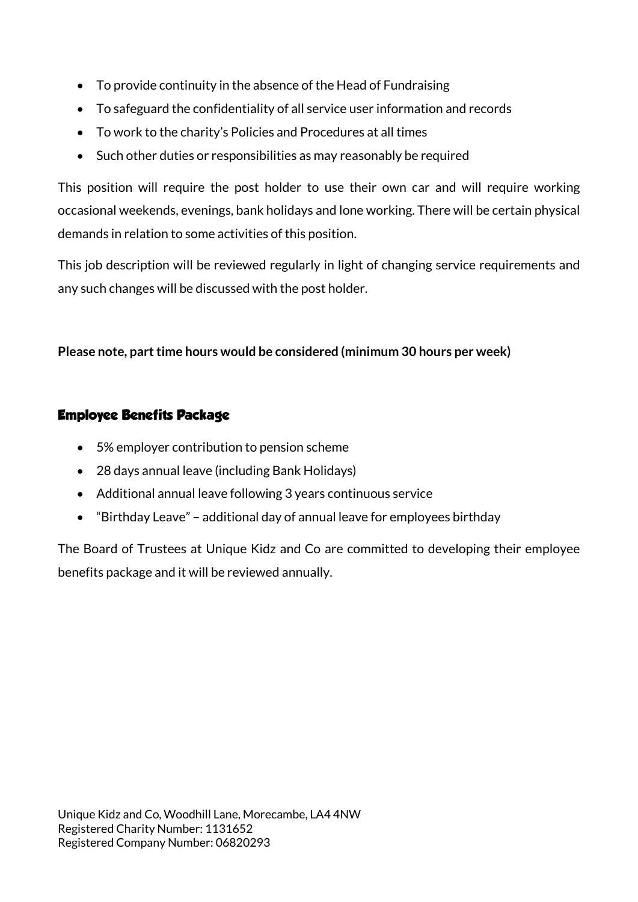- To provide continuity in the absence of the Head of Fundraising
- To safeguard the confidentiality of all service user information and records
- To work to the charity's Policies and Procedures at all times
- Such other duties or responsibilities as may reasonably be required

This position will require the post holder to use their own car and will require working occasional weekends, evenings, bank holidays and lone working. There will be certain physical demands in relation to some activities of this position.

This job description will be reviewed regularly in light of changing service requirements and any such changes will be discussed with the post holder.

#### **Please note, part time hours would be considered (minimum 30 hours per week)**

#### **Employee Benefits Package**

- 5% employer contribution to pension scheme
- 28 days annual leave (including Bank Holidays)
- Additional annual leave following 3 years continuous service
- "Birthday Leave" additional day of annual leave for employees birthday

The Board of Trustees at Unique Kidz and Co are committed to developing their employee benefits package and it will be reviewed annually.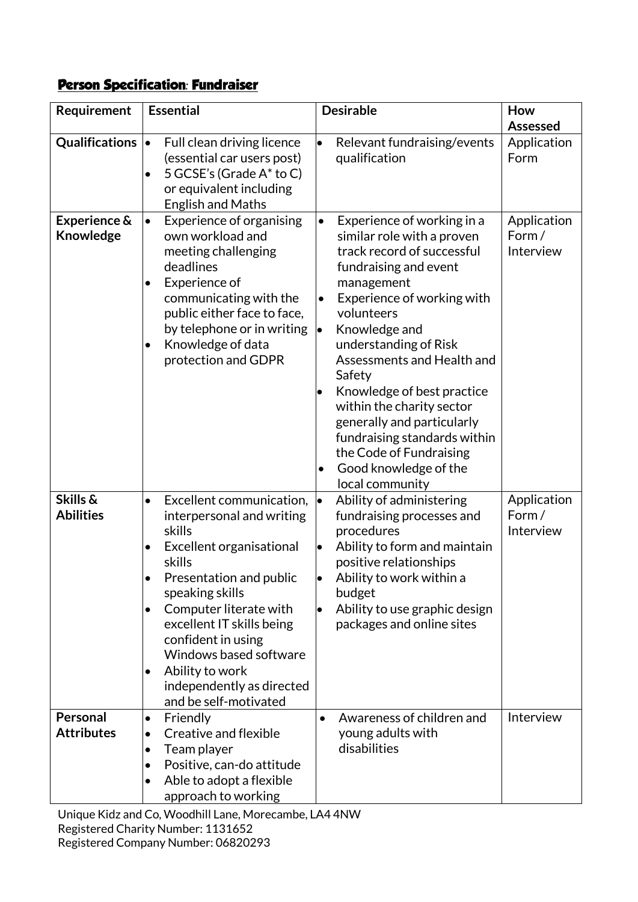# **Person Specification: Fundraiser**

| Requirement                   | <b>Essential</b>                                                                                                                                                                                                                                                                                                                                                        | <b>Desirable</b>                                                                                                                                                                                                                                                                                                                                                                                                                                                                                         | How                               |
|-------------------------------|-------------------------------------------------------------------------------------------------------------------------------------------------------------------------------------------------------------------------------------------------------------------------------------------------------------------------------------------------------------------------|----------------------------------------------------------------------------------------------------------------------------------------------------------------------------------------------------------------------------------------------------------------------------------------------------------------------------------------------------------------------------------------------------------------------------------------------------------------------------------------------------------|-----------------------------------|
|                               |                                                                                                                                                                                                                                                                                                                                                                         |                                                                                                                                                                                                                                                                                                                                                                                                                                                                                                          | <b>Assessed</b>                   |
| Qualifications •              | Full clean driving licence<br>(essential car users post)<br>5 GCSE's (Grade A* to C)<br>$\bullet$<br>or equivalent including<br><b>English and Maths</b>                                                                                                                                                                                                                | Relevant fundraising/events<br>$\bullet$<br>qualification                                                                                                                                                                                                                                                                                                                                                                                                                                                | Application<br>Form               |
| Experience &<br>Knowledge     | Experience of organising<br>$\bullet$<br>own workload and<br>meeting challenging<br>deadlines<br>Experience of<br>٠<br>communicating with the<br>public either face to face,<br>by telephone or in writing<br>Knowledge of data<br>protection and GDPR                                                                                                                  | Experience of working in a<br>$\bullet$<br>similar role with a proven<br>track record of successful<br>fundraising and event<br>management<br>Experience of working with<br>$\bullet$<br>volunteers<br>Knowledge and<br> •<br>understanding of Risk<br>Assessments and Health and<br>Safety<br>Knowledge of best practice<br>within the charity sector<br>generally and particularly<br>fundraising standards within<br>the Code of Fundraising<br>Good knowledge of the<br>$\bullet$<br>local community | Application<br>Form/<br>Interview |
| Skills &<br><b>Abilities</b>  | Excellent communication,<br>$\bullet$<br>interpersonal and writing<br>skills<br>Excellent organisational<br>٠<br>skills<br>Presentation and public<br>speaking skills<br>Computer literate with<br>٠<br>excellent IT skills being<br>confident in using<br>Windows based software<br>Ability to work<br>$\bullet$<br>independently as directed<br>and be self-motivated | Ability of administering<br>l.<br>fundraising processes and<br>procedures<br>Ability to form and maintain<br>þ<br>positive relationships<br>Ability to work within a<br>budget<br>Ability to use graphic design<br>$\bullet$<br>packages and online sites                                                                                                                                                                                                                                                | Application<br>Form/<br>Interview |
| Personal<br><b>Attributes</b> | Friendly<br>$\bullet$<br>Creative and flexible<br>Team player<br>$\bullet$<br>Positive, can-do attitude<br>$\bullet$<br>Able to adopt a flexible<br>approach to working                                                                                                                                                                                                 | Awareness of children and<br>$\bullet$<br>young adults with<br>disabilities                                                                                                                                                                                                                                                                                                                                                                                                                              | Interview                         |